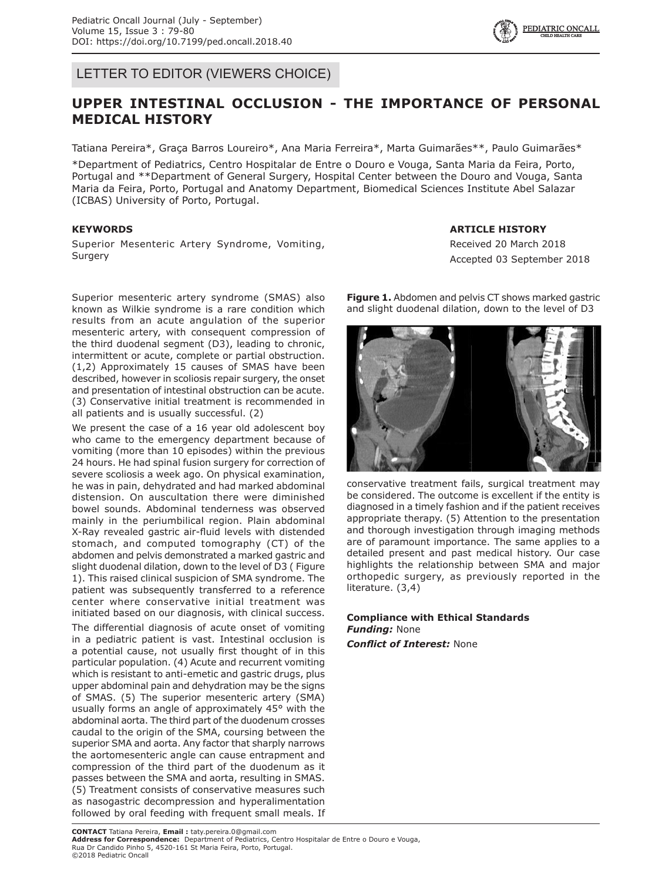LETTER TO EDITOR (VIEWERS CHOICE)

## **UPPER INTESTINAL OCCLUSION - THE IMPORTANCE OF PERSONAL MEDICAL HISTORY**

Tatiana Pereira\*, Graça Barros Loureiro\*, Ana Maria Ferreira\*, Marta Guimarães\*\*, Paulo Guimarães\*

\*Department of Pediatrics, Centro Hospitalar de Entre o Douro e Vouga, Santa Maria da Feira, Porto, Portugal and \*\*Department of General Surgery, Hospital Center between the Douro and Vouga, Santa Maria da Feira, Porto, Portugal and Anatomy Department, Biomedical Sciences Institute Abel Salazar (ICBAS) University of Porto, Portugal.

## **KEYWORDS**

Superior Mesenteric Artery Syndrome, Vomiting, **Surgery** 

Superior mesenteric artery syndrome (SMAS) also known as Wilkie syndrome is a rare condition which results from an acute angulation of the superior mesenteric artery, with consequent compression of the third duodenal segment (D3), leading to chronic, intermittent or acute, complete or partial obstruction. (1,2) Approximately 15 causes of SMAS have been described, however in scoliosis repair surgery, the onset and presentation of intestinal obstruction can be acute. (3) Conservative initial treatment is recommended in all patients and is usually successful. (2)

We present the case of a 16 year old adolescent boy who came to the emergency department because of vomiting (more than 10 episodes) within the previous 24 hours. He had spinal fusion surgery for correction of severe scoliosis a week ago. On physical examination, he was in pain, dehydrated and had marked abdominal distension. On auscultation there were diminished bowel sounds. Abdominal tenderness was observed mainly in the periumbilical region. Plain abdominal X-Ray revealed gastric air-fluid levels with distended stomach, and computed tomography (CT) of the abdomen and pelvis demonstrated a marked gastric and slight duodenal dilation, down to the level of D3 ( Figure 1). This raised clinical suspicion of SMA syndrome. The patient was subsequently transferred to a reference center where conservative initial treatment was initiated based on our diagnosis, with clinical success.

The differential diagnosis of acute onset of vomiting in a pediatric patient is vast. Intestinal occlusion is a potential cause, not usually first thought of in this particular population. (4) Acute and recurrent vomiting which is resistant to anti-emetic and gastric drugs, plus upper abdominal pain and dehydration may be the signs of SMAS. (5) The superior mesenteric artery (SMA) usually forms an angle of approximately 45° with the abdominal aorta. The third part of the duodenum crosses caudal to the origin of the SMA, coursing between the superior SMA and aorta. Any factor that sharply narrows the aortomesenteric angle can cause entrapment and compression of the third part of the duodenum as it passes between the SMA and aorta, resulting in SMAS. (5) Treatment consists of conservative measures such as nasogastric decompression and hyperalimentation followed by oral feeding with frequent small meals. If

**ARTICLE HISTORY**

Received 20 March 2018 Accepted 03 September 2018

**Figure 1.** Abdomen and pelvis CT shows marked gastric and slight duodenal dilation, down to the level of D3



conservative treatment fails, surgical treatment may be considered. The outcome is excellent if the entity is diagnosed in a timely fashion and if the patient receives appropriate therapy. (5) Attention to the presentation and thorough investigation through imaging methods are of paramount importance. The same applies to a detailed present and past medical history. Our case highlights the relationship between SMA and major orthopedic surgery, as previously reported in the literature. (3,4)

## **Compliance with Ethical Standards** *Funding:* None

*Conflict of Interest:* None

**CONTACT** Tatiana Pereira, **Email :** taty.pereira.0@gmail.com **Address for Correspondence:** Department of Pediatrics, Centro Hospitalar de Entre o Douro e Vouga, Rua Dr Candido Pinho 5, 4520-161 St Maria Feira, Porto, Portugal. ©2018 Pediatric Oncall